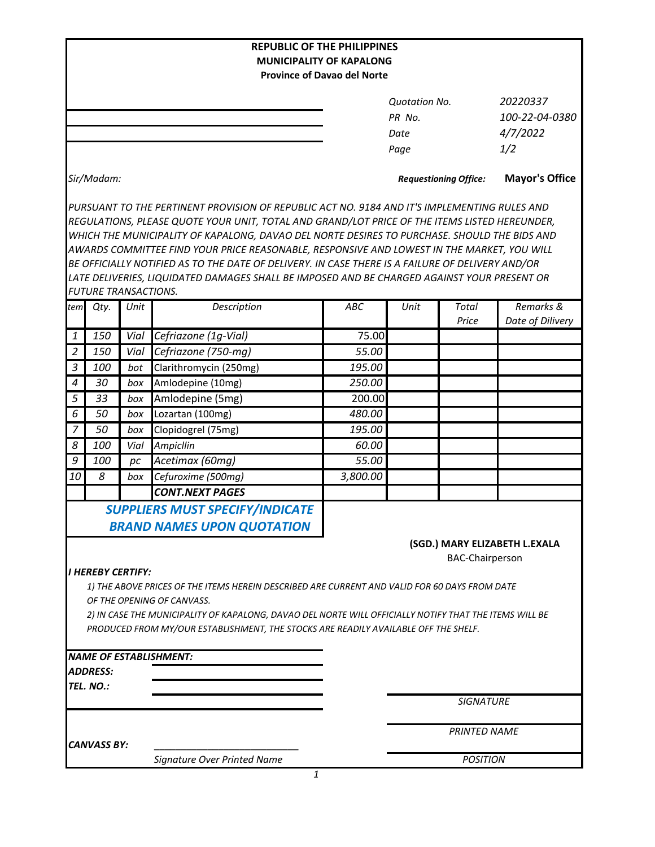| <b>REPUBLIC OF THE PHILIPPINES</b><br><b>MUNICIPALITY OF KAPALONG</b> |                             |            |                                                                                                                                                                                                                                                                                                                                                                                                                                                                                                                                                                                                |                                    |                                                |                                               |                               |  |  |  |
|-----------------------------------------------------------------------|-----------------------------|------------|------------------------------------------------------------------------------------------------------------------------------------------------------------------------------------------------------------------------------------------------------------------------------------------------------------------------------------------------------------------------------------------------------------------------------------------------------------------------------------------------------------------------------------------------------------------------------------------------|------------------------------------|------------------------------------------------|-----------------------------------------------|-------------------------------|--|--|--|
|                                                                       |                             |            |                                                                                                                                                                                                                                                                                                                                                                                                                                                                                                                                                                                                | <b>Province of Davao del Norte</b> |                                                |                                               |                               |  |  |  |
|                                                                       |                             |            |                                                                                                                                                                                                                                                                                                                                                                                                                                                                                                                                                                                                |                                    | <b>Quotation No.</b><br>PR No.<br>Date<br>Page | 20220337<br>100-22-04-0380<br>4/7/2022<br>1/2 |                               |  |  |  |
|                                                                       | Sir/Madam:                  |            |                                                                                                                                                                                                                                                                                                                                                                                                                                                                                                                                                                                                |                                    | <b>Requestioning Office:</b>                   |                                               | <b>Mayor's Office</b>         |  |  |  |
|                                                                       | <b>FUTURE TRANSACTIONS.</b> |            | PURSUANT TO THE PERTINENT PROVISION OF REPUBLIC ACT NO. 9184 AND IT'S IMPLEMENTING RULES AND<br>REGULATIONS, PLEASE QUOTE YOUR UNIT, TOTAL AND GRAND/LOT PRICE OF THE ITEMS LISTED HEREUNDER,<br>WHICH THE MUNICIPALITY OF KAPALONG, DAVAO DEL NORTE DESIRES TO PURCHASE. SHOULD THE BIDS AND<br>AWARDS COMMITTEE FIND YOUR PRICE REASONABLE, RESPONSIVE AND LOWEST IN THE MARKET, YOU WILL<br>BE OFFICIALLY NOTIFIED AS TO THE DATE OF DELIVERY. IN CASE THERE IS A FAILURE OF DELIVERY AND/OR<br>LATE DELIVERIES, LIQUIDATED DAMAGES SHALL BE IMPOSED AND BE CHARGED AGAINST YOUR PRESENT OR |                                    |                                                |                                               |                               |  |  |  |
| tem                                                                   | Qty.                        | Unit       | Description                                                                                                                                                                                                                                                                                                                                                                                                                                                                                                                                                                                    | ABC                                | Unit                                           | <b>Total</b>                                  | Remarks &                     |  |  |  |
|                                                                       |                             |            |                                                                                                                                                                                                                                                                                                                                                                                                                                                                                                                                                                                                |                                    |                                                | Price                                         | Date of Dilivery              |  |  |  |
| 1                                                                     | 150                         | Vial       | Cefriazone (1g-Vial)                                                                                                                                                                                                                                                                                                                                                                                                                                                                                                                                                                           | 75.00                              |                                                |                                               |                               |  |  |  |
| $\overline{2}$                                                        | 150                         | Vial       | Cefriazone (750-mg)                                                                                                                                                                                                                                                                                                                                                                                                                                                                                                                                                                            | 55.00                              |                                                |                                               |                               |  |  |  |
| 3<br>$\overline{4}$                                                   | 100<br>30                   | bot        | Clarithromycin (250mg)                                                                                                                                                                                                                                                                                                                                                                                                                                                                                                                                                                         | 195.00                             |                                                |                                               |                               |  |  |  |
|                                                                       |                             | box        | Amlodepine (10mg)                                                                                                                                                                                                                                                                                                                                                                                                                                                                                                                                                                              | 250.00<br>200.00                   |                                                |                                               |                               |  |  |  |
| 5<br>6                                                                | 33<br>50                    | box<br>box | Amlodepine (5mg)                                                                                                                                                                                                                                                                                                                                                                                                                                                                                                                                                                               | 480.00                             |                                                |                                               |                               |  |  |  |
| $\overline{7}$                                                        | 50                          | box        | Lozartan (100mg)<br>Clopidogrel (75mg)                                                                                                                                                                                                                                                                                                                                                                                                                                                                                                                                                         | 195.00                             |                                                |                                               |                               |  |  |  |
| 8                                                                     | 100                         | Vial       | Ampicllin                                                                                                                                                                                                                                                                                                                                                                                                                                                                                                                                                                                      | 60.00                              |                                                |                                               |                               |  |  |  |
| 9                                                                     | 100                         | pc         | Acetimax (60mg)                                                                                                                                                                                                                                                                                                                                                                                                                                                                                                                                                                                | 55.00                              |                                                |                                               |                               |  |  |  |
| 10                                                                    | 8                           | box        | Cefuroxime (500mg)                                                                                                                                                                                                                                                                                                                                                                                                                                                                                                                                                                             | 3,800.00                           |                                                |                                               |                               |  |  |  |
|                                                                       |                             |            | <b>CONT.NEXT PAGES</b>                                                                                                                                                                                                                                                                                                                                                                                                                                                                                                                                                                         |                                    |                                                |                                               |                               |  |  |  |
|                                                                       |                             |            | <b>SUPPLIERS MUST SPECIFY/INDICATE</b><br><b>BRAND NAMES UPON QUOTATION</b>                                                                                                                                                                                                                                                                                                                                                                                                                                                                                                                    |                                    |                                                | <b>BAC-Chairperson</b>                        | (SGD.) MARY ELIZABETH L.EXALA |  |  |  |
|                                                                       | I HEREBY CERTIFY:           |            | 1) THE ABOVE PRICES OF THE ITEMS HEREIN DESCRIBED ARE CURRENT AND VALID FOR 60 DAYS FROM DATE<br>OF THE OPENING OF CANVASS.<br>2) IN CASE THE MUNICIPALITY OF KAPALONG, DAVAO DEL NORTE WILL OFFICIALLY NOTIFY THAT THE ITEMS WILL BE<br>PRODUCED FROM MY/OUR ESTABLISHMENT, THE STOCKS ARE READILY AVAILABLE OFF THE SHELF.                                                                                                                                                                                                                                                                   |                                    |                                                |                                               |                               |  |  |  |
|                                                                       |                             |            | <b>NAME OF ESTABLISHMENT:</b>                                                                                                                                                                                                                                                                                                                                                                                                                                                                                                                                                                  |                                    |                                                |                                               |                               |  |  |  |
|                                                                       | ADDRESS:<br>TEL. NO.:       |            |                                                                                                                                                                                                                                                                                                                                                                                                                                                                                                                                                                                                |                                    |                                                |                                               |                               |  |  |  |
|                                                                       |                             |            |                                                                                                                                                                                                                                                                                                                                                                                                                                                                                                                                                                                                |                                    |                                                | <b>SIGNATURE</b>                              |                               |  |  |  |
|                                                                       | <b>CANVASS BY:</b>          |            |                                                                                                                                                                                                                                                                                                                                                                                                                                                                                                                                                                                                |                                    |                                                | <b>PRINTED NAME</b>                           |                               |  |  |  |
|                                                                       |                             |            | Signature Over Printed Name                                                                                                                                                                                                                                                                                                                                                                                                                                                                                                                                                                    |                                    | <b>POSITION</b>                                |                                               |                               |  |  |  |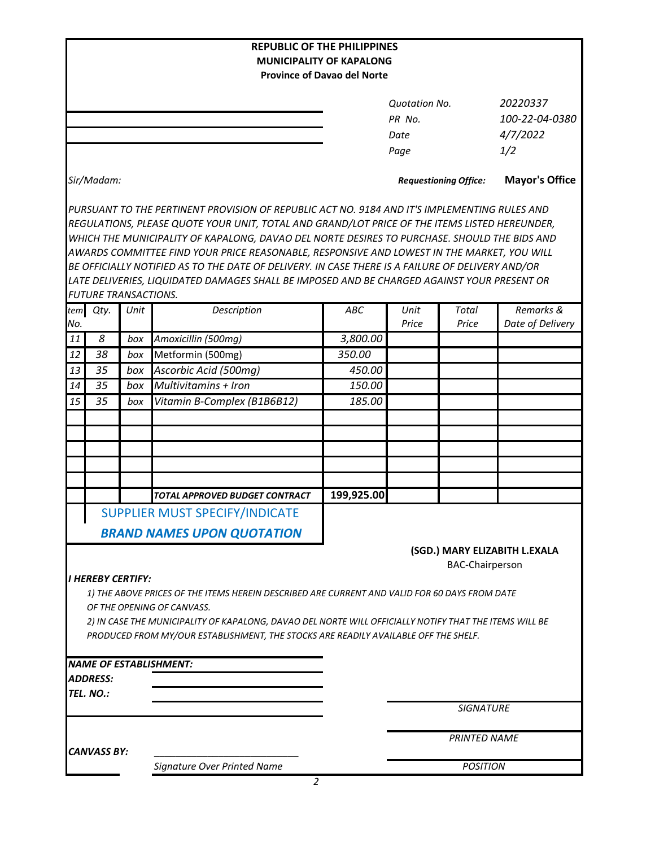| <b>REPUBLIC OF THE PHILIPPINES</b>                                                            |                                                                                              |      |                                                                                                        |                                    |                      |                              |                               |  |  |  |  |  |
|-----------------------------------------------------------------------------------------------|----------------------------------------------------------------------------------------------|------|--------------------------------------------------------------------------------------------------------|------------------------------------|----------------------|------------------------------|-------------------------------|--|--|--|--|--|
| <b>MUNICIPALITY OF KAPALONG</b>                                                               |                                                                                              |      |                                                                                                        |                                    |                      |                              |                               |  |  |  |  |  |
|                                                                                               |                                                                                              |      |                                                                                                        | <b>Province of Davao del Norte</b> |                      |                              |                               |  |  |  |  |  |
|                                                                                               |                                                                                              |      |                                                                                                        |                                    | <b>Quotation No.</b> |                              | 20220337                      |  |  |  |  |  |
|                                                                                               |                                                                                              |      |                                                                                                        |                                    | PR No.               |                              | 100-22-04-0380                |  |  |  |  |  |
|                                                                                               |                                                                                              |      |                                                                                                        |                                    | Date                 |                              | 4/7/2022                      |  |  |  |  |  |
|                                                                                               |                                                                                              |      |                                                                                                        |                                    | Page                 |                              | 1/2                           |  |  |  |  |  |
|                                                                                               |                                                                                              |      |                                                                                                        |                                    |                      |                              |                               |  |  |  |  |  |
|                                                                                               | Sir/Madam:                                                                                   |      |                                                                                                        |                                    |                      | <b>Requestioning Office:</b> | <b>Mayor's Office</b>         |  |  |  |  |  |
|                                                                                               |                                                                                              |      | PURSUANT TO THE PERTINENT PROVISION OF REPUBLIC ACT NO. 9184 AND IT'S IMPLEMENTING RULES AND           |                                    |                      |                              |                               |  |  |  |  |  |
| REGULATIONS, PLEASE QUOTE YOUR UNIT, TOTAL AND GRAND/LOT PRICE OF THE ITEMS LISTED HEREUNDER, |                                                                                              |      |                                                                                                        |                                    |                      |                              |                               |  |  |  |  |  |
|                                                                                               | WHICH THE MUNICIPALITY OF KAPALONG, DAVAO DEL NORTE DESIRES TO PURCHASE. SHOULD THE BIDS AND |      |                                                                                                        |                                    |                      |                              |                               |  |  |  |  |  |
|                                                                                               |                                                                                              |      | AWARDS COMMITTEE FIND YOUR PRICE REASONABLE, RESPONSIVE AND LOWEST IN THE MARKET, YOU WILL             |                                    |                      |                              |                               |  |  |  |  |  |
|                                                                                               |                                                                                              |      | BE OFFICIALLY NOTIFIED AS TO THE DATE OF DELIVERY. IN CASE THERE IS A FAILURE OF DELIVERY AND/OR       |                                    |                      |                              |                               |  |  |  |  |  |
|                                                                                               |                                                                                              |      | LATE DELIVERIES, LIQUIDATED DAMAGES SHALL BE IMPOSED AND BE CHARGED AGAINST YOUR PRESENT OR            |                                    |                      |                              |                               |  |  |  |  |  |
|                                                                                               | <b>FUTURE TRANSACTIONS.</b>                                                                  |      |                                                                                                        |                                    |                      |                              |                               |  |  |  |  |  |
| tem                                                                                           | Qty.                                                                                         | Unit | Description                                                                                            | ABC                                | Unit                 | Total                        | Remarks &                     |  |  |  |  |  |
| No.                                                                                           |                                                                                              |      |                                                                                                        |                                    | Price                | Price                        | Date of Delivery              |  |  |  |  |  |
| 11                                                                                            | 8                                                                                            | box  | Amoxicillin (500mg)                                                                                    | 3,800.00                           |                      |                              |                               |  |  |  |  |  |
| 12                                                                                            | 38                                                                                           | box  | Metformin (500mg)                                                                                      | 350.00                             |                      |                              |                               |  |  |  |  |  |
| 13                                                                                            | 35                                                                                           | box  | Ascorbic Acid (500mg)                                                                                  | 450.00                             |                      |                              |                               |  |  |  |  |  |
| 14                                                                                            | 35                                                                                           | box  | Multivitamins + Iron                                                                                   | 150.00                             |                      |                              |                               |  |  |  |  |  |
| 15                                                                                            | 35                                                                                           | box  | Vitamin B-Complex (B1B6B12)                                                                            | 185.00                             |                      |                              |                               |  |  |  |  |  |
|                                                                                               |                                                                                              |      |                                                                                                        |                                    |                      |                              |                               |  |  |  |  |  |
|                                                                                               |                                                                                              |      |                                                                                                        |                                    |                      |                              |                               |  |  |  |  |  |
|                                                                                               |                                                                                              |      |                                                                                                        |                                    |                      |                              |                               |  |  |  |  |  |
|                                                                                               |                                                                                              |      |                                                                                                        |                                    |                      |                              |                               |  |  |  |  |  |
|                                                                                               |                                                                                              |      |                                                                                                        |                                    |                      |                              |                               |  |  |  |  |  |
|                                                                                               |                                                                                              |      | <b>TOTAL APPROVED BUDGET CONTRACT</b>                                                                  | 199,925.00                         |                      |                              |                               |  |  |  |  |  |
|                                                                                               |                                                                                              |      | SUPPLIER MUST SPECIFY/INDICATE                                                                         |                                    |                      |                              |                               |  |  |  |  |  |
|                                                                                               |                                                                                              |      | <b>BRAND NAMES UPON QUOTATION</b>                                                                      |                                    |                      |                              |                               |  |  |  |  |  |
|                                                                                               |                                                                                              |      |                                                                                                        |                                    |                      |                              | (SGD.) MARY ELIZABITH L.EXALA |  |  |  |  |  |
|                                                                                               |                                                                                              |      |                                                                                                        |                                    |                      | <b>BAC-Chairperson</b>       |                               |  |  |  |  |  |
|                                                                                               | <b>I HEREBY CERTIFY:</b>                                                                     |      |                                                                                                        |                                    |                      |                              |                               |  |  |  |  |  |
|                                                                                               |                                                                                              |      | 1) THE ABOVE PRICES OF THE ITEMS HEREIN DESCRIBED ARE CURRENT AND VALID FOR 60 DAYS FROM DATE          |                                    |                      |                              |                               |  |  |  |  |  |
|                                                                                               |                                                                                              |      | OF THE OPENING OF CANVASS.                                                                             |                                    |                      |                              |                               |  |  |  |  |  |
|                                                                                               |                                                                                              |      | 2) IN CASE THE MUNICIPALITY OF KAPALONG, DAVAO DEL NORTE WILL OFFICIALLY NOTIFY THAT THE ITEMS WILL BE |                                    |                      |                              |                               |  |  |  |  |  |
|                                                                                               |                                                                                              |      | PRODUCED FROM MY/OUR ESTABLISHMENT, THE STOCKS ARE READILY AVAILABLE OFF THE SHELF.                    |                                    |                      |                              |                               |  |  |  |  |  |
|                                                                                               |                                                                                              |      |                                                                                                        |                                    |                      |                              |                               |  |  |  |  |  |
|                                                                                               |                                                                                              |      | <b>NAME OF ESTABLISHMENT:</b>                                                                          |                                    |                      |                              |                               |  |  |  |  |  |
|                                                                                               | ADDRESS:                                                                                     |      |                                                                                                        |                                    |                      |                              |                               |  |  |  |  |  |
|                                                                                               | TEL. NO.:                                                                                    |      |                                                                                                        |                                    |                      |                              |                               |  |  |  |  |  |
|                                                                                               |                                                                                              |      |                                                                                                        |                                    |                      | <b>SIGNATURE</b>             |                               |  |  |  |  |  |
|                                                                                               |                                                                                              |      |                                                                                                        |                                    |                      |                              |                               |  |  |  |  |  |
|                                                                                               |                                                                                              |      |                                                                                                        |                                    | <b>PRINTED NAME</b>  |                              |                               |  |  |  |  |  |
|                                                                                               | <b>CANVASS BY:</b>                                                                           |      |                                                                                                        |                                    |                      |                              |                               |  |  |  |  |  |
|                                                                                               |                                                                                              |      | Signature Over Printed Name                                                                            |                                    |                      | <b>POSITION</b>              |                               |  |  |  |  |  |

*2*